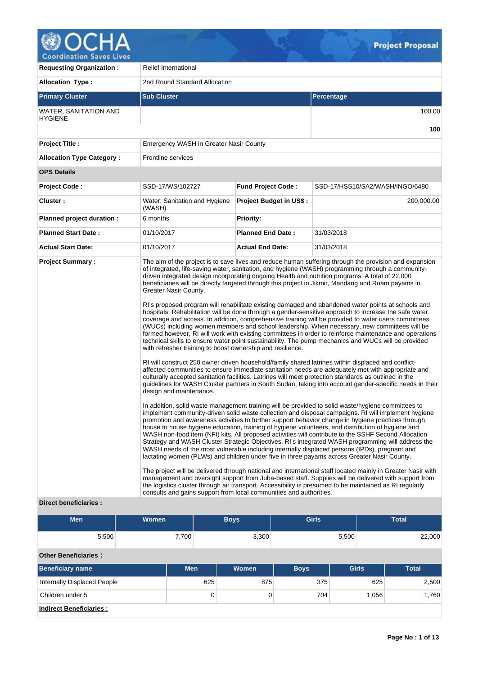

| <b>Requesting Organization:</b>         | <b>Relief International</b>                                                                                                                                                          |                                |                                                                                                                                                                                                                                                                                                                                                                                                                                                                                                                                                                                                                                                                                                                                                                                                                                                                                                                                                                                                                                                                                                                                                                                                                                                                                                                                                                                                                                                                                                                                                                                                                                                                                                                                                                                                                                                                                                                                                                                                                                                                                                                                                                                                                                                                                                                                                                                                                                                                                                                                                                                                                                                                    |  |  |  |  |  |
|-----------------------------------------|--------------------------------------------------------------------------------------------------------------------------------------------------------------------------------------|--------------------------------|--------------------------------------------------------------------------------------------------------------------------------------------------------------------------------------------------------------------------------------------------------------------------------------------------------------------------------------------------------------------------------------------------------------------------------------------------------------------------------------------------------------------------------------------------------------------------------------------------------------------------------------------------------------------------------------------------------------------------------------------------------------------------------------------------------------------------------------------------------------------------------------------------------------------------------------------------------------------------------------------------------------------------------------------------------------------------------------------------------------------------------------------------------------------------------------------------------------------------------------------------------------------------------------------------------------------------------------------------------------------------------------------------------------------------------------------------------------------------------------------------------------------------------------------------------------------------------------------------------------------------------------------------------------------------------------------------------------------------------------------------------------------------------------------------------------------------------------------------------------------------------------------------------------------------------------------------------------------------------------------------------------------------------------------------------------------------------------------------------------------------------------------------------------------------------------------------------------------------------------------------------------------------------------------------------------------------------------------------------------------------------------------------------------------------------------------------------------------------------------------------------------------------------------------------------------------------------------------------------------------------------------------------------------------|--|--|--|--|--|
| <b>Allocation Type:</b>                 | 2nd Round Standard Allocation                                                                                                                                                        |                                |                                                                                                                                                                                                                                                                                                                                                                                                                                                                                                                                                                                                                                                                                                                                                                                                                                                                                                                                                                                                                                                                                                                                                                                                                                                                                                                                                                                                                                                                                                                                                                                                                                                                                                                                                                                                                                                                                                                                                                                                                                                                                                                                                                                                                                                                                                                                                                                                                                                                                                                                                                                                                                                                    |  |  |  |  |  |
| <b>Primary Cluster</b>                  | <b>Sub Cluster</b>                                                                                                                                                                   |                                | Percentage                                                                                                                                                                                                                                                                                                                                                                                                                                                                                                                                                                                                                                                                                                                                                                                                                                                                                                                                                                                                                                                                                                                                                                                                                                                                                                                                                                                                                                                                                                                                                                                                                                                                                                                                                                                                                                                                                                                                                                                                                                                                                                                                                                                                                                                                                                                                                                                                                                                                                                                                                                                                                                                         |  |  |  |  |  |
| WATER, SANITATION AND<br><b>HYGIENE</b> |                                                                                                                                                                                      |                                | 100.00                                                                                                                                                                                                                                                                                                                                                                                                                                                                                                                                                                                                                                                                                                                                                                                                                                                                                                                                                                                                                                                                                                                                                                                                                                                                                                                                                                                                                                                                                                                                                                                                                                                                                                                                                                                                                                                                                                                                                                                                                                                                                                                                                                                                                                                                                                                                                                                                                                                                                                                                                                                                                                                             |  |  |  |  |  |
|                                         |                                                                                                                                                                                      |                                | 100                                                                                                                                                                                                                                                                                                                                                                                                                                                                                                                                                                                                                                                                                                                                                                                                                                                                                                                                                                                                                                                                                                                                                                                                                                                                                                                                                                                                                                                                                                                                                                                                                                                                                                                                                                                                                                                                                                                                                                                                                                                                                                                                                                                                                                                                                                                                                                                                                                                                                                                                                                                                                                                                |  |  |  |  |  |
| <b>Project Title:</b>                   | Emergency WASH in Greater Nasir County                                                                                                                                               |                                |                                                                                                                                                                                                                                                                                                                                                                                                                                                                                                                                                                                                                                                                                                                                                                                                                                                                                                                                                                                                                                                                                                                                                                                                                                                                                                                                                                                                                                                                                                                                                                                                                                                                                                                                                                                                                                                                                                                                                                                                                                                                                                                                                                                                                                                                                                                                                                                                                                                                                                                                                                                                                                                                    |  |  |  |  |  |
| <b>Allocation Type Category:</b>        | <b>Frontline services</b>                                                                                                                                                            |                                |                                                                                                                                                                                                                                                                                                                                                                                                                                                                                                                                                                                                                                                                                                                                                                                                                                                                                                                                                                                                                                                                                                                                                                                                                                                                                                                                                                                                                                                                                                                                                                                                                                                                                                                                                                                                                                                                                                                                                                                                                                                                                                                                                                                                                                                                                                                                                                                                                                                                                                                                                                                                                                                                    |  |  |  |  |  |
| <b>OPS Details</b>                      |                                                                                                                                                                                      |                                |                                                                                                                                                                                                                                                                                                                                                                                                                                                                                                                                                                                                                                                                                                                                                                                                                                                                                                                                                                                                                                                                                                                                                                                                                                                                                                                                                                                                                                                                                                                                                                                                                                                                                                                                                                                                                                                                                                                                                                                                                                                                                                                                                                                                                                                                                                                                                                                                                                                                                                                                                                                                                                                                    |  |  |  |  |  |
| <b>Project Code:</b>                    | SSD-17/WS/102727                                                                                                                                                                     | <b>Fund Project Code:</b>      | SSD-17/HSS10/SA2/WASH/INGO/6480                                                                                                                                                                                                                                                                                                                                                                                                                                                                                                                                                                                                                                                                                                                                                                                                                                                                                                                                                                                                                                                                                                                                                                                                                                                                                                                                                                                                                                                                                                                                                                                                                                                                                                                                                                                                                                                                                                                                                                                                                                                                                                                                                                                                                                                                                                                                                                                                                                                                                                                                                                                                                                    |  |  |  |  |  |
| Cluster:                                | Water, Sanitation and Hygiene<br>(WASH)                                                                                                                                              | <b>Project Budget in US\$:</b> | 200,000.00                                                                                                                                                                                                                                                                                                                                                                                                                                                                                                                                                                                                                                                                                                                                                                                                                                                                                                                                                                                                                                                                                                                                                                                                                                                                                                                                                                                                                                                                                                                                                                                                                                                                                                                                                                                                                                                                                                                                                                                                                                                                                                                                                                                                                                                                                                                                                                                                                                                                                                                                                                                                                                                         |  |  |  |  |  |
| Planned project duration :              | 6 months                                                                                                                                                                             | <b>Priority:</b>               |                                                                                                                                                                                                                                                                                                                                                                                                                                                                                                                                                                                                                                                                                                                                                                                                                                                                                                                                                                                                                                                                                                                                                                                                                                                                                                                                                                                                                                                                                                                                                                                                                                                                                                                                                                                                                                                                                                                                                                                                                                                                                                                                                                                                                                                                                                                                                                                                                                                                                                                                                                                                                                                                    |  |  |  |  |  |
| <b>Planned Start Date:</b>              | 01/10/2017                                                                                                                                                                           | <b>Planned End Date:</b>       | 31/03/2018                                                                                                                                                                                                                                                                                                                                                                                                                                                                                                                                                                                                                                                                                                                                                                                                                                                                                                                                                                                                                                                                                                                                                                                                                                                                                                                                                                                                                                                                                                                                                                                                                                                                                                                                                                                                                                                                                                                                                                                                                                                                                                                                                                                                                                                                                                                                                                                                                                                                                                                                                                                                                                                         |  |  |  |  |  |
| <b>Actual Start Date:</b>               | 01/10/2017                                                                                                                                                                           | <b>Actual End Date:</b>        | 31/03/2018                                                                                                                                                                                                                                                                                                                                                                                                                                                                                                                                                                                                                                                                                                                                                                                                                                                                                                                                                                                                                                                                                                                                                                                                                                                                                                                                                                                                                                                                                                                                                                                                                                                                                                                                                                                                                                                                                                                                                                                                                                                                                                                                                                                                                                                                                                                                                                                                                                                                                                                                                                                                                                                         |  |  |  |  |  |
| <b>Project Summary:</b>                 | Greater Nasir County.<br>with refresher training to boost ownership and resilience.<br>design and maintenance.<br>consults and gains support from local communities and authorities. |                                | The aim of the project is to save lives and reduce human suffering through the provision and expansion<br>of integrated, life-saving water, sanitation, and hygiene (WASH) programming through a community-<br>driven integrated design incorporating ongoing Health and nutrition programs. A total of 22,000<br>beneficiaries will be directly targeted through this project in Jikmir, Mandang and Roam payams in<br>RI's proposed program will rehabilitate existing damaged and abandoned water points at schools and<br>hospitals. Rehabilitation will be done through a gender-sensitive approach to increase the safe water<br>coverage and access. In addition, comprehensive training will be provided to water users committees<br>(WUCs) including women members and school leadership. When necessary, new committees will be<br>formed however, RI will work with existing committees in order to reinforce maintenance and operations<br>technical skills to ensure water point sustainability. The pump mechanics and WUCs will be provided<br>RI will construct 250 owner driven household/family shared latrines within displaced and conflict-<br>affected communities to ensure immediate sanitation needs are adequately met with appropriate and<br>culturally accepted sanitation facilities. Latrines will meet protection standards as outlined in the<br>guidelines for WASH Cluster partners in South Sudan, taking into account gender-specific needs in their<br>In addition, solid waste management training will be provided to solid waste/hygiene committees to<br>implement community-driven solid waste collection and disposal campaigns. RI will implement hygiene<br>promotion and awareness activities to further support behavior change in hygiene practices through,<br>house to house hygiene education, training of hygiene volunteers, and distribution of hygiene and<br>WASH non-food item (NFI) kits. All proposed activities will contribute to the SSHF Second Allocation<br>Strategy and WASH Cluster Strategic Objectives. RI's integrated WASH programming will address the<br>WASH needs of the most vulnerable including internally displaced persons (IPDs), pregnant and<br>lactating women (PLWs) and children under five in three payams across Greater Nasir County.<br>The project will be delivered through national and international staff located mainly in Greater Nasir with<br>management and oversight support from Juba-based staff. Supplies will be delivered with support from<br>the logistics cluster through air transport. Accessibility is presumed to be maintained as RI regularly |  |  |  |  |  |

## **Direct beneficiaries :**

| <b>Men</b> | Women <sup>1</sup> | <b>Boys</b> | Girls | Total  |
|------------|--------------------|-------------|-------|--------|
| 5,500      | 7,700              | 3,300       | 5,500 | 22,000 |

# **Other Beneficiaries :**

| <b>Beneficiary name</b>        | <b>Men</b> | Women | <b>Boys</b> | <b>Girls</b> | <b>Total</b> |
|--------------------------------|------------|-------|-------------|--------------|--------------|
| Internally Displaced People    | 625        | 875   | 375         | 625          | 2,500        |
| Children under 5               | 0          |       | 704         | 1.056        | 1,760        |
| <b>Indirect Beneficiaries:</b> |            |       |             |              |              |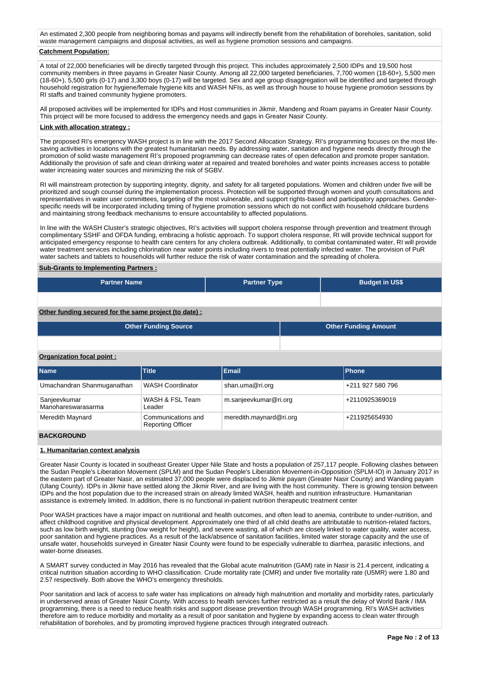An estimated 2,300 people from neighboring bomas and payams will indirectly benefit from the rehabilitation of boreholes, sanitation, solid waste management campaigns and disposal activities, as well as hygiene promotion sessions and campaigns.

### **Catchment Population:**

A total of 22,000 beneficiaries will be directly targeted through this project. This includes approximately 2,500 IDPs and 19,500 host community members in three payams in Greater Nasir County. Among all 22,000 targeted beneficiaries, 7,700 women (18-60+), 5,500 men (18-60+), 5,500 girls (0-17) and 3,300 boys (0-17) will be targeted. Sex and age group disaggregation will be identified and targeted through household registration for hygiene/female hygiene kits and WASH NFIs, as well as through house to house hygiene promotion sessions by RI staffs and trained community hygiene promoters.

All proposed activities will be implemented for IDPs and Host communities in Jikmir, Mandeng and Roam payams in Greater Nasir County. This project will be more focused to address the emergency needs and gaps in Greater Nasir County.

### **Link with allocation strategy :**

The proposed RI's emergency WASH project is in line with the 2017 Second Allocation Strategy. RI's programming focuses on the most lifesaving activities in locations with the greatest humanitarian needs. By addressing water, sanitation and hygiene needs directly through the promotion of solid waste management RI's proposed programming can decrease rates of open defecation and promote proper sanitation. Additionally the provision of safe and clean drinking water at repaired and treated boreholes and water points increases access to potable water increasing water sources and minimizing the risk of SGBV.

RI will mainstream protection by supporting integrity, dignity, and safety for all targeted populations. Women and children under five will be prioritized and sough counsel during the implementation process. Protection will be supported through women and youth consultations and representatives in water user committees, targeting of the most vulnerable, and support rights-based and participatory approaches. Genderspecific needs will be incorporated including timing of hygiene promotion sessions which do not conflict with household childcare burdens and maintaining strong feedback mechanisms to ensure accountability to affected populations.

In line with the WASH Cluster's strategic objectives, RI's activities will support cholera response through prevention and treatment through complimentary SSHF and OFDA funding, embracing a holistic approach. To support cholera response, RI will provide technical support for anticipated emergency response to health care centers for any cholera outbreak. Additionally, to combat contaminated water, RI will provide water treatment services including chlorination near water points including rivers to treat potentially infected water. The provision of PuR water sachets and tablets to households will further reduce the risk of water contamination and the spreading of cholera.

**Sub-Grants to Implementing Partners :**

| <b>Partner Name</b> | <b>Partner Type</b> | <b>Budget in US\$</b> |
|---------------------|---------------------|-----------------------|
|                     |                     |                       |

**Other funding secured for the same project (to date) :**

| <b>Other Funding Source</b> | <b>Other Funding Amount</b> |
|-----------------------------|-----------------------------|
|                             |                             |

### **Organization focal point :**

| <b>Name</b>                        | <b>Title</b>                                   | <b>Email</b>            | Phone            |
|------------------------------------|------------------------------------------------|-------------------------|------------------|
| Umachandran Shanmuganathan         | <b>WASH Coordinator</b>                        | shan.uma@ri.org         | +211 927 580 796 |
| Sanjeevkumar<br>Manohareswarasarma | WASH & FSL Team<br>Leader                      | m.sanjeevkumar@ri.org   | +2110925369019   |
| Meredith Maynard                   | Communications and<br><b>Reporting Officer</b> | meredith.maynard@ri.org | +211925654930    |

### **BACKGROUND**

### **1. Humanitarian context analysis**

Greater Nasir County is located in southeast Greater Upper Nile State and hosts a population of 257,117 people. Following clashes between the Sudan People's Liberation Movement (SPLM) and the Sudan People's Liberation Movement-in-Opposition (SPLM-IO) in January 2017 in the eastern part of Greater Nasir, an estimated 37,000 people were displaced to Jikmir payam (Greater Nasir County) and Wanding payam (Ulang County). IDPs in Jikmir have settled along the Jikmir River, and are living with the host community. There is growing tension between IDPs and the host population due to the increased strain on already limited WASH, health and nutrition infrastructure. Humanitarian assistance is extremely limited. In addition, there is no functional in-patient nutrition therapeutic treatment center

Poor WASH practices have a major impact on nutritional and health outcomes, and often lead to anemia, contribute to under-nutrition, and affect childhood cognitive and physical development. Approximately one third of all child deaths are attributable to nutrition-related factors, such as low birth weight, stunting (low weight for height), and severe wasting, all of which are closely linked to water quality, water access, poor sanitation and hygiene practices. As a result of the lack/absence of sanitation facilities, limited water storage capacity and the use of unsafe water, households surveyed in Greater Nasir County were found to be especially vulnerable to diarrhea, parasitic infections, and water-borne diseases.

A SMART survey conducted in May 2016 has revealed that the Global acute malnutrition (GAM) rate in Nasir is 21.4 percent, indicating a critical nutrition situation according to WHO classification. Crude mortality rate (CMR) and under five mortality rate (U5MR) were 1.80 and 2.57 respectively. Both above the WHO's emergency thresholds.

Poor sanitation and lack of access to safe water has implications on already high malnutrition and mortality and morbidity rates, particularly in underserved areas of Greater Nasir County. With access to health services further restricted as a result the delay of World Bank / IMA programming, there is a need to reduce health risks and support disease prevention through WASH programming. RI's WASH activities therefore aim to reduce morbidity and mortality as a result of poor sanitation and hygiene by expanding access to clean water through rehabilitation of boreholes, and by promoting improved hygiene practices through integrated outreach.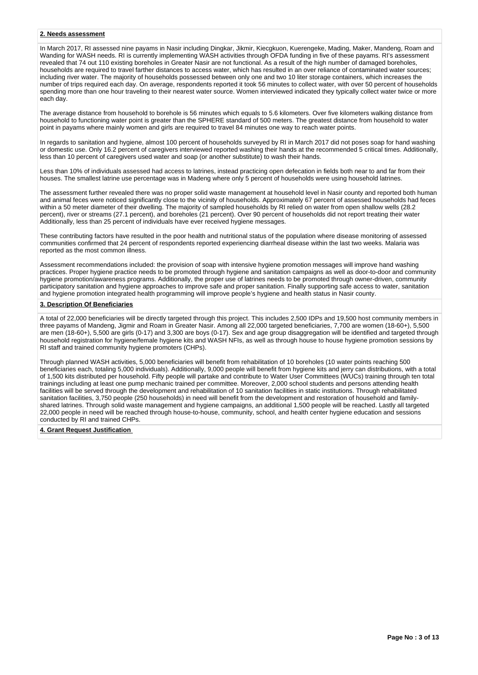### **2. Needs assessment**

In March 2017, RI assessed nine payams in Nasir including Dingkar, Jikmir, Kiecgkuon, Kuerengeke, Mading, Maker, Mandeng, Roam and Wanding for WASH needs. RI is currently implementing WASH activities through OFDA funding in five of these payams. RI's assessment revealed that 74 out 110 existing boreholes in Greater Nasir are not functional. As a result of the high number of damaged boreholes, households are required to travel farther distances to access water, which has resulted in an over reliance of contaminated water sources; including river water. The majority of households possessed between only one and two 10 liter storage containers, which increases the number of trips required each day. On average, respondents reported it took 56 minutes to collect water, with over 50 percent of households spending more than one hour traveling to their nearest water source. Women interviewed indicated they typically collect water twice or more each day.

The average distance from household to borehole is 56 minutes which equals to 5.6 kilometers. Over five kilometers walking distance from household to functioning water point is greater than the SPHERE standard of 500 meters. The greatest distance from household to water point in payams where mainly women and girls are required to travel 84 minutes one way to reach water points.

In regards to sanitation and hygiene, almost 100 percent of households surveyed by RI in March 2017 did not poses soap for hand washing or domestic use. Only 16.2 percent of caregivers interviewed reported washing their hands at the recommended 5 critical times. Additionally, less than 10 percent of caregivers used water and soap (or another substitute) to wash their hands.

Less than 10% of individuals assessed had access to latrines, instead practicing open defecation in fields both near to and far from their houses. The smallest latrine use percentage was in Madeng where only 5 percent of households were using household latrines.

The assessment further revealed there was no proper solid waste management at household level in Nasir county and reported both human and animal feces were noticed significantly close to the vicinity of households. Approximately 67 percent of assessed households had feces within a 50 meter diameter of their dwelling. The majority of sampled households by RI relied on water from open shallow wells (28.2 percent), river or streams (27.1 percent), and boreholes (21 percent). Over 90 percent of households did not report treating their water Additionally, less than 25 percent of individuals have ever received hygiene messages.

These contributing factors have resulted in the poor health and nutritional status of the population where disease monitoring of assessed communities confirmed that 24 percent of respondents reported experiencing diarrheal disease within the last two weeks. Malaria was reported as the most common illness.

Assessment recommendations included: the provision of soap with intensive hygiene promotion messages will improve hand washing practices. Proper hygiene practice needs to be promoted through hygiene and sanitation campaigns as well as door-to-door and community hygiene promotion/awareness programs. Additionally, the proper use of latrines needs to be promoted through owner-driven, community participatory sanitation and hygiene approaches to improve safe and proper sanitation. Finally supporting safe access to water, sanitation and hygiene promotion integrated health programming will improve people's hygiene and health status in Nasir county.

### **3. Description Of Beneficiaries**

A total of 22,000 beneficiaries will be directly targeted through this project. This includes 2,500 IDPs and 19,500 host community members in three payams of Mandeng, Jigmir and Roam in Greater Nasir. Among all 22,000 targeted beneficiaries, 7,700 are women (18-60+), 5,500 are men (18-60+), 5,500 are girls (0-17) and 3,300 are boys (0-17). Sex and age group disaggregation will be identified and targeted through household registration for hygiene/female hygiene kits and WASH NFIs, as well as through house to house hygiene promotion sessions by RI staff and trained community hygiene promoters (CHPs).

Through planned WASH activities, 5,000 beneficiaries will benefit from rehabilitation of 10 boreholes (10 water points reaching 500 beneficiaries each, totaling 5,000 individuals). Additionally, 9,000 people will benefit from hygiene kits and jerry can distributions, with a total of 1,500 kits distributed per household. Fifty people will partake and contribute to Water User Committees (WUCs) training through ten total trainings including at least one pump mechanic trained per committee. Moreover, 2,000 school students and persons attending health facilities will be served through the development and rehabilitation of 10 sanitation facilities in static institutions. Through rehabilitated sanitation facilities, 3,750 people (250 households) in need will benefit from the development and restoration of household and familyshared latrines. Through solid waste management and hygiene campaigns, an additional 1,500 people will be reached. Lastly all targeted 22,000 people in need will be reached through house-to-house, community, school, and health center hygiene education and sessions conducted by RI and trained CHPs.

#### **4. Grant Request Justification**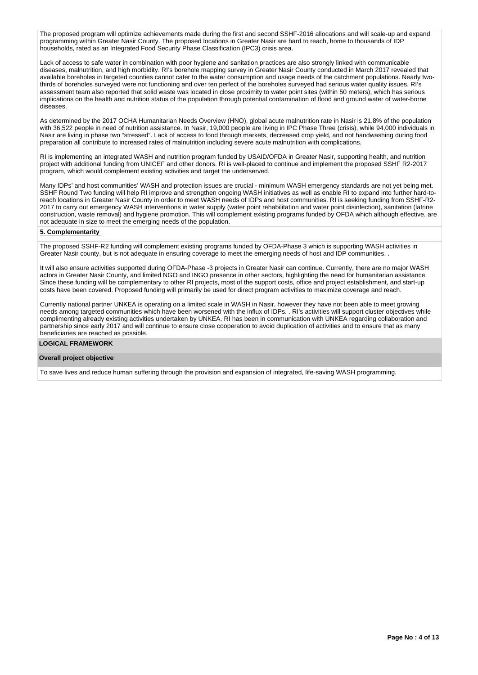The proposed program will optimize achievements made during the first and second SSHF-2016 allocations and will scale-up and expand programming within Greater Nasir County. The proposed locations in Greater Nasir are hard to reach, home to thousands of IDP households, rated as an Integrated Food Security Phase Classification (IPC3) crisis area.

Lack of access to safe water in combination with poor hygiene and sanitation practices are also strongly linked with communicable diseases, malnutrition, and high morbidity. RI's borehole mapping survey in Greater Nasir County conducted in March 2017 revealed that available boreholes in targeted counties cannot cater to the water consumption and usage needs of the catchment populations. Nearly twothirds of boreholes surveyed were not functioning and over ten perfect of the boreholes surveyed had serious water quality issues. RI's assessment team also reported that solid waste was located in close proximity to water point sites (within 50 meters), which has serious implications on the health and nutrition status of the population through potential contamination of flood and ground water of water-borne diseases.

As determined by the 2017 OCHA Humanitarian Needs Overview (HNO), global acute malnutrition rate in Nasir is 21.8% of the population with 36,522 people in need of nutrition assistance. In Nasir, 19,000 people are living in IPC Phase Three (crisis), while 94,000 individuals in Nasir are living in phase two "stressed". Lack of access to food through markets, decreased crop yield, and not handwashing during food preparation all contribute to increased rates of malnutrition including severe acute malnutrition with complications.

RI is implementing an integrated WASH and nutrition program funded by USAID/OFDA in Greater Nasir, supporting health, and nutrition project with additional funding from UNICEF and other donors. RI is well-placed to continue and implement the proposed SSHF R2-2017 program, which would complement existing activities and target the underserved.

Many IDPs' and host communities' WASH and protection issues are crucial - minimum WASH emergency standards are not yet being met. SSHF Round Two funding will help RI improve and strengthen ongoing WASH initiatives as well as enable RI to expand into further hard-toreach locations in Greater Nasir County in order to meet WASH needs of IDPs and host communities. RI is seeking funding from SSHF-R2- 2017 to carry out emergency WASH interventions in water supply (water point rehabilitation and water point disinfection), sanitation (latrine construction, waste removal) and hygiene promotion. This will complement existing programs funded by OFDA which although effective, are not adequate in size to meet the emerging needs of the population.

### **5. Complementarity**

The proposed SSHF-R2 funding will complement existing programs funded by OFDA-Phase 3 which is supporting WASH activities in Greater Nasir county, but is not adequate in ensuring coverage to meet the emerging needs of host and IDP communities. .

It will also ensure activities supported during OFDA-Phase -3 projects in Greater Nasir can continue. Currently, there are no major WASH actors in Greater Nasir County, and limited NGO and INGO presence in other sectors, highlighting the need for humanitarian assistance. Since these funding will be complementary to other RI projects, most of the support costs, office and project establishment, and start-up costs have been covered. Proposed funding will primarily be used for direct program activities to maximize coverage and reach.

Currently national partner UNKEA is operating on a limited scale in WASH in Nasir, however they have not been able to meet growing needs among targeted communities which have been worsened with the influx of IDPs. . RI's activities will support cluster objectives while complimenting already existing activities undertaken by UNKEA. RI has been in communication with UNKEA regarding collaboration and partnership since early 2017 and will continue to ensure close cooperation to avoid duplication of activities and to ensure that as many beneficiaries are reached as possible.

## **LOGICAL FRAMEWORK**

#### **Overall project objective**

To save lives and reduce human suffering through the provision and expansion of integrated, life-saving WASH programming.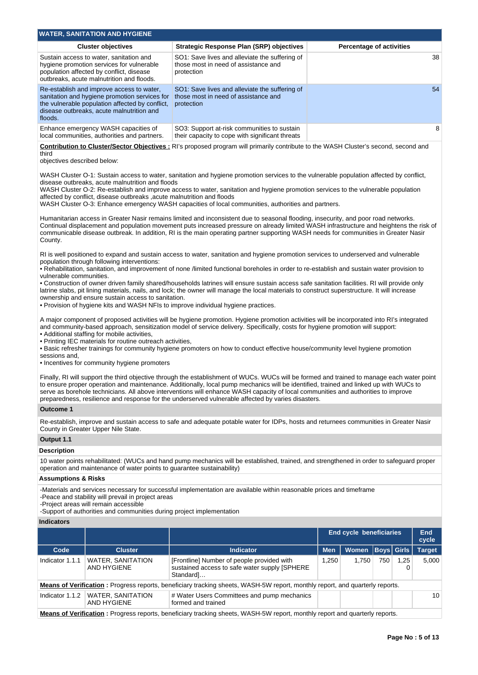|                                      | <b>WATER, SANITATION AND HYGIENE</b>                                                                                                                                                                                                                                                                                                                                                                                                                                                                                                                                                                                                                                                                                                                                                                       |                                                                                                                                                                                                                                                                                                                                                                                                                                                                                                                                |                                                       |                                 |             |              |               |  |  |  |
|--------------------------------------|------------------------------------------------------------------------------------------------------------------------------------------------------------------------------------------------------------------------------------------------------------------------------------------------------------------------------------------------------------------------------------------------------------------------------------------------------------------------------------------------------------------------------------------------------------------------------------------------------------------------------------------------------------------------------------------------------------------------------------------------------------------------------------------------------------|--------------------------------------------------------------------------------------------------------------------------------------------------------------------------------------------------------------------------------------------------------------------------------------------------------------------------------------------------------------------------------------------------------------------------------------------------------------------------------------------------------------------------------|-------------------------------------------------------|---------------------------------|-------------|--------------|---------------|--|--|--|
|                                      | <b>Cluster objectives</b>                                                                                                                                                                                                                                                                                                                                                                                                                                                                                                                                                                                                                                                                                                                                                                                  | <b>Strategic Response Plan (SRP) objectives</b>                                                                                                                                                                                                                                                                                                                                                                                                                                                                                |                                                       | <b>Percentage of activities</b> |             |              |               |  |  |  |
|                                      | Sustain access to water, sanitation and<br>hygiene promotion services for vulnerable<br>population affected by conflict, disease<br>outbreaks, acute malnutrition and floods.                                                                                                                                                                                                                                                                                                                                                                                                                                                                                                                                                                                                                              | SO1: Save lives and alleviate the suffering of<br>those most in need of assistance and<br>protection                                                                                                                                                                                                                                                                                                                                                                                                                           |                                                       |                                 |             |              | 38            |  |  |  |
| floods.                              | Re-establish and improve access to water,<br>sanitation and hygiene promotion services for<br>the vulnerable population affected by conflict,<br>disease outbreaks, acute malnutrition and                                                                                                                                                                                                                                                                                                                                                                                                                                                                                                                                                                                                                 | SO1: Save lives and alleviate the suffering of<br>those most in need of assistance and<br>protection                                                                                                                                                                                                                                                                                                                                                                                                                           |                                                       | 54                              |             |              |               |  |  |  |
|                                      | Enhance emergency WASH capacities of<br>local communities, authorities and partners.                                                                                                                                                                                                                                                                                                                                                                                                                                                                                                                                                                                                                                                                                                                       | SO3: Support at-risk communities to sustain<br>their capacity to cope with significant threats                                                                                                                                                                                                                                                                                                                                                                                                                                 |                                                       |                                 |             |              | 8             |  |  |  |
| third<br>objectives described below: |                                                                                                                                                                                                                                                                                                                                                                                                                                                                                                                                                                                                                                                                                                                                                                                                            | <b>Contribution to Cluster/Sector Objectives:</b> RI's proposed program will primarily contribute to the WASH Cluster's second, second and                                                                                                                                                                                                                                                                                                                                                                                     |                                                       |                                 |             |              |               |  |  |  |
|                                      | disease outbreaks, acute malnutrition and floods<br>affected by conflict, disease outbreaks, acute malnutrition and floods                                                                                                                                                                                                                                                                                                                                                                                                                                                                                                                                                                                                                                                                                 | WASH Cluster O-1: Sustain access to water, sanitation and hygiene promotion services to the vulnerable population affected by conflict,<br>WASH Cluster O-2: Re-establish and improve access to water, sanitation and hygiene promotion services to the vulnerable population<br>WASH Cluster O-3: Enhance emergency WASH capacities of local communities, authorities and partners.                                                                                                                                           |                                                       |                                 |             |              |               |  |  |  |
| County.                              |                                                                                                                                                                                                                                                                                                                                                                                                                                                                                                                                                                                                                                                                                                                                                                                                            | Humanitarian access in Greater Nasir remains limited and inconsistent due to seasonal flooding, insecurity, and poor road networks.<br>Continual displacement and population movement puts increased pressure on already limited WASH infrastructure and heightens the risk of<br>communicable disease outbreak. In addition, RI is the main operating partner supporting WASH needs for communities in Greater Nasir                                                                                                          |                                                       |                                 |             |              |               |  |  |  |
|                                      | RI is well positioned to expand and sustain access to water, sanitation and hygiene promotion services to underserved and vulnerable<br>population through following interventions:<br>. Rehabilitation, sanitation, and improvement of none /limited functional boreholes in order to re-establish and sustain water provision to<br>vulnerable communities.<br>. Construction of owner driven family shared/households latrines will ensure sustain access safe sanitation facilities. RI will provide only<br>latrine slabs, pit lining materials, nails, and lock; the owner will manage the local materials to construct superstructure. It will increase<br>ownership and ensure sustain access to sanitation.<br>. Provision of hygiene kits and WASH NFIs to improve individual hygiene practices. |                                                                                                                                                                                                                                                                                                                                                                                                                                                                                                                                |                                                       |                                 |             |              |               |  |  |  |
| sessions and,                        | • Additional staffing for mobile activities,<br>. Printing IEC materials for routine outreach activities,<br>• Incentives for community hygiene promoters                                                                                                                                                                                                                                                                                                                                                                                                                                                                                                                                                                                                                                                  | A major component of proposed activities will be hygiene promotion. Hygiene promotion activities will be incorporated into RI's integrated<br>and community-based approach, sensitization model of service delivery. Specifically, costs for hygiene promotion will support:<br>. Basic refresher trainings for community hygiene promoters on how to conduct effective house/community level hygiene promotion                                                                                                                |                                                       |                                 |             |              |               |  |  |  |
|                                      |                                                                                                                                                                                                                                                                                                                                                                                                                                                                                                                                                                                                                                                                                                                                                                                                            | Finally, RI will support the third objective through the establishment of WUCs. WUCs will be formed and trained to manage each water point<br>to ensure proper operation and maintenance. Additionally, local pump mechanics will be identified, trained and linked up with WUCs to<br>serve as borehole technicians. All above interventions will enhance WASH capacity of local communities and authorities to improve<br>preparedness, resilience and response for the underserved vulnerable affected by varies disasters. |                                                       |                                 |             |              |               |  |  |  |
| Outcome 1                            |                                                                                                                                                                                                                                                                                                                                                                                                                                                                                                                                                                                                                                                                                                                                                                                                            |                                                                                                                                                                                                                                                                                                                                                                                                                                                                                                                                |                                                       |                                 |             |              |               |  |  |  |
|                                      | County in Greater Upper Nile State.                                                                                                                                                                                                                                                                                                                                                                                                                                                                                                                                                                                                                                                                                                                                                                        | Re-establish, improve and sustain access to safe and adequate potable water for IDPs, hosts and returnees communities in Greater Nasir                                                                                                                                                                                                                                                                                                                                                                                         |                                                       |                                 |             |              |               |  |  |  |
| Output 1.1                           |                                                                                                                                                                                                                                                                                                                                                                                                                                                                                                                                                                                                                                                                                                                                                                                                            |                                                                                                                                                                                                                                                                                                                                                                                                                                                                                                                                |                                                       |                                 |             |              |               |  |  |  |
| <b>Description</b>                   |                                                                                                                                                                                                                                                                                                                                                                                                                                                                                                                                                                                                                                                                                                                                                                                                            |                                                                                                                                                                                                                                                                                                                                                                                                                                                                                                                                |                                                       |                                 |             |              |               |  |  |  |
|                                      | operation and maintenance of water points to guarantee sustainability)                                                                                                                                                                                                                                                                                                                                                                                                                                                                                                                                                                                                                                                                                                                                     | 10 water points rehabilitated: (WUCs and hand pump mechanics will be established, trained, and strengthened in order to safeguard proper                                                                                                                                                                                                                                                                                                                                                                                       |                                                       |                                 |             |              |               |  |  |  |
| <b>Assumptions &amp; Risks</b>       |                                                                                                                                                                                                                                                                                                                                                                                                                                                                                                                                                                                                                                                                                                                                                                                                            |                                                                                                                                                                                                                                                                                                                                                                                                                                                                                                                                |                                                       |                                 |             |              |               |  |  |  |
|                                      | -Peace and stability will prevail in project areas<br>-Project areas will remain accessible<br>-Support of authorities and communities during project implementation                                                                                                                                                                                                                                                                                                                                                                                                                                                                                                                                                                                                                                       | -Materials and services necessary for successful implementation are available within reasonable prices and timeframe                                                                                                                                                                                                                                                                                                                                                                                                           |                                                       |                                 |             |              |               |  |  |  |
| <b>Indicators</b>                    |                                                                                                                                                                                                                                                                                                                                                                                                                                                                                                                                                                                                                                                                                                                                                                                                            |                                                                                                                                                                                                                                                                                                                                                                                                                                                                                                                                |                                                       |                                 |             |              |               |  |  |  |
|                                      |                                                                                                                                                                                                                                                                                                                                                                                                                                                                                                                                                                                                                                                                                                                                                                                                            |                                                                                                                                                                                                                                                                                                                                                                                                                                                                                                                                | <b>End</b><br><b>End cycle beneficiaries</b><br>cycle |                                 |             |              |               |  |  |  |
| Code                                 | <b>Cluster</b>                                                                                                                                                                                                                                                                                                                                                                                                                                                                                                                                                                                                                                                                                                                                                                                             | <b>Indicator</b>                                                                                                                                                                                                                                                                                                                                                                                                                                                                                                               | <b>Men</b>                                            | Women                           | <b>Boys</b> | <b>Girls</b> | <b>Target</b> |  |  |  |
| Indicator 1.1.1                      | <b>WATER, SANITATION</b><br><b>AND HYGIENE</b>                                                                                                                                                                                                                                                                                                                                                                                                                                                                                                                                                                                                                                                                                                                                                             | [Frontline] Number of people provided with<br>sustained access to safe water supply [SPHERE<br>Standard]                                                                                                                                                                                                                                                                                                                                                                                                                       | 1,250                                                 | 1,750                           | 750         | 1,25<br>0    | 5,000         |  |  |  |
|                                      |                                                                                                                                                                                                                                                                                                                                                                                                                                                                                                                                                                                                                                                                                                                                                                                                            | Means of Verification: Progress reports, beneficiary tracking sheets, WASH-5W report, monthly report, and quarterly reports.                                                                                                                                                                                                                                                                                                                                                                                                   |                                                       |                                 |             |              |               |  |  |  |
| Indicator 1.1.2                      | WATER, SANITATION<br><b>AND HYGIENE</b>                                                                                                                                                                                                                                                                                                                                                                                                                                                                                                                                                                                                                                                                                                                                                                    | # Water Users Committees and pump mechanics<br>formed and trained                                                                                                                                                                                                                                                                                                                                                                                                                                                              |                                                       |                                 |             |              | 10            |  |  |  |
|                                      |                                                                                                                                                                                                                                                                                                                                                                                                                                                                                                                                                                                                                                                                                                                                                                                                            |                                                                                                                                                                                                                                                                                                                                                                                                                                                                                                                                |                                                       |                                 |             |              |               |  |  |  |

Н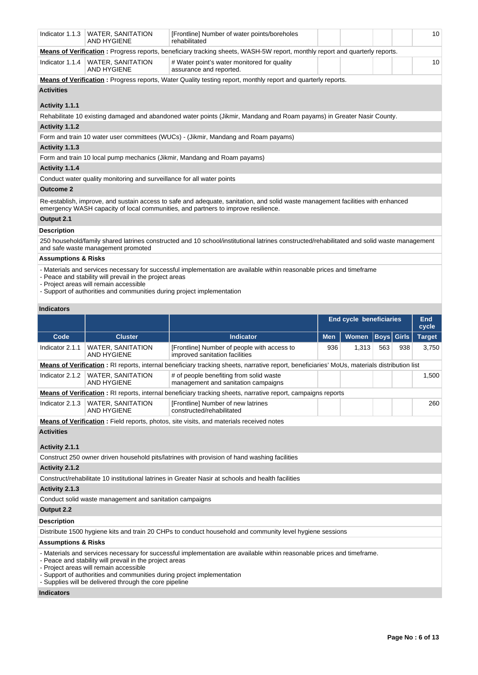| Indicator 1.1.3                | WATER, SANITATION<br><b>AND HYGIENE</b>                                                                                                                                     | [Frontline] Number of water points/boreholes<br>rehabilitated                                                                                                                                                        |                                | 10  |
|--------------------------------|-----------------------------------------------------------------------------------------------------------------------------------------------------------------------------|----------------------------------------------------------------------------------------------------------------------------------------------------------------------------------------------------------------------|--------------------------------|-----|
|                                |                                                                                                                                                                             | Means of Verification: Progress reports, beneficiary tracking sheets, WASH-5W report, monthly report and quarterly reports.                                                                                          |                                |     |
|                                | Indicator 1.1.4   WATER, SANITATION<br><b>AND HYGIENE</b>                                                                                                                   | # Water point's water monitored for quality<br>assurance and reported.                                                                                                                                               |                                | 10  |
|                                |                                                                                                                                                                             | <b>Means of Verification</b> : Progress reports, Water Quality testing report, monthly report and quarterly reports.                                                                                                 |                                |     |
| <b>Activities</b>              |                                                                                                                                                                             |                                                                                                                                                                                                                      |                                |     |
| Activity 1.1.1                 |                                                                                                                                                                             |                                                                                                                                                                                                                      |                                |     |
|                                |                                                                                                                                                                             | Rehabilitate 10 existing damaged and abandoned water points (Jikmir, Mandang and Roam payams) in Greater Nasir County.                                                                                               |                                |     |
| Activity 1.1.2                 |                                                                                                                                                                             |                                                                                                                                                                                                                      |                                |     |
|                                |                                                                                                                                                                             | Form and train 10 water user committees (WUCs) - (Jikmir, Mandang and Roam payams)                                                                                                                                   |                                |     |
| Activity 1.1.3                 |                                                                                                                                                                             |                                                                                                                                                                                                                      |                                |     |
|                                |                                                                                                                                                                             | Form and train 10 local pump mechanics (Jikmir, Mandang and Roam payams)                                                                                                                                             |                                |     |
| Activity 1.1.4                 |                                                                                                                                                                             |                                                                                                                                                                                                                      |                                |     |
|                                | Conduct water quality monitoring and surveillance for all water points                                                                                                      |                                                                                                                                                                                                                      |                                |     |
| <b>Outcome 2</b>               |                                                                                                                                                                             |                                                                                                                                                                                                                      |                                |     |
|                                |                                                                                                                                                                             |                                                                                                                                                                                                                      |                                |     |
|                                |                                                                                                                                                                             | Re-establish, improve, and sustain access to safe and adequate, sanitation, and solid waste management facilities with enhanced<br>emergency WASH capacity of local communities, and partners to improve resilience. |                                |     |
| Output 2.1                     |                                                                                                                                                                             |                                                                                                                                                                                                                      |                                |     |
| <b>Description</b>             |                                                                                                                                                                             |                                                                                                                                                                                                                      |                                |     |
|                                | and safe waste management promoted                                                                                                                                          | 250 household/family shared latrines constructed and 10 school/institutional latrines constructed/rehabilitated and solid waste management                                                                           |                                |     |
| <b>Assumptions &amp; Risks</b> |                                                                                                                                                                             |                                                                                                                                                                                                                      |                                |     |
|                                | - Peace and stability will prevail in the project areas<br>- Project areas will remain accessible<br>- Support of authorities and communities during project implementation | - Materials and services necessary for successful implementation are available within reasonable prices and timeframe                                                                                                |                                |     |
| <b>Indicators</b>              |                                                                                                                                                                             |                                                                                                                                                                                                                      |                                |     |
|                                |                                                                                                                                                                             |                                                                                                                                                                                                                      | <b>End cycle beneficiaries</b> | End |

|                                |                                                                                                                                                                                                                                       |                                                                                                                                             | End cycle beneficiaries | End<br>cycle |                   |     |               |
|--------------------------------|---------------------------------------------------------------------------------------------------------------------------------------------------------------------------------------------------------------------------------------|---------------------------------------------------------------------------------------------------------------------------------------------|-------------------------|--------------|-------------------|-----|---------------|
| Code                           | <b>Cluster</b>                                                                                                                                                                                                                        | <b>Indicator</b>                                                                                                                            | <b>Men</b>              | Women        | <b>Boys Girls</b> |     | <b>Target</b> |
| Indicator 2.1.1                | <b>WATER, SANITATION</b><br><b>AND HYGIENE</b>                                                                                                                                                                                        | [Frontline] Number of people with access to<br>improved sanitation facilities                                                               | 936                     | 1,313        | 563               | 938 | 3,750         |
|                                |                                                                                                                                                                                                                                       | Means of Verification: RI reports, internal beneficiary tracking sheets, narrative report, beneficiaries' MoUs, materials distribution list |                         |              |                   |     |               |
| Indicator 2.1.2                | <b>WATER, SANITATION</b><br><b>AND HYGIENE</b>                                                                                                                                                                                        | # of people benefiting from solid waste<br>management and sanitation campaigns                                                              |                         |              |                   |     | 1,500         |
|                                |                                                                                                                                                                                                                                       | <b>Means of Verification</b> : RI reports, internal beneficiary tracking sheets, narrative report, campaigns reports                        |                         |              |                   |     |               |
| Indicator 2.1.3                | <b>WATER, SANITATION</b><br><b>AND HYGIENE</b>                                                                                                                                                                                        | [Frontline] Number of new latrines<br>constructed/rehabilitated                                                                             |                         |              |                   |     | 260           |
|                                |                                                                                                                                                                                                                                       | <b>Means of Verification:</b> Field reports, photos, site visits, and materials received notes                                              |                         |              |                   |     |               |
| <b>Activities</b>              |                                                                                                                                                                                                                                       |                                                                                                                                             |                         |              |                   |     |               |
| Activity 2.1.1                 |                                                                                                                                                                                                                                       |                                                                                                                                             |                         |              |                   |     |               |
|                                |                                                                                                                                                                                                                                       | Construct 250 owner driven household pits/latrines with provision of hand washing facilities                                                |                         |              |                   |     |               |
| Activity 2.1.2                 |                                                                                                                                                                                                                                       |                                                                                                                                             |                         |              |                   |     |               |
|                                |                                                                                                                                                                                                                                       | Construct/rehabilitate 10 institutional latrines in Greater Nasir at schools and health facilities                                          |                         |              |                   |     |               |
| Activity 2.1.3                 |                                                                                                                                                                                                                                       |                                                                                                                                             |                         |              |                   |     |               |
|                                | Conduct solid waste management and sanitation campaigns                                                                                                                                                                               |                                                                                                                                             |                         |              |                   |     |               |
| Output 2.2                     |                                                                                                                                                                                                                                       |                                                                                                                                             |                         |              |                   |     |               |
| <b>Description</b>             |                                                                                                                                                                                                                                       |                                                                                                                                             |                         |              |                   |     |               |
|                                |                                                                                                                                                                                                                                       | Distribute 1500 hygiene kits and train 20 CHPs to conduct household and community level hygiene sessions                                    |                         |              |                   |     |               |
| <b>Assumptions &amp; Risks</b> |                                                                                                                                                                                                                                       |                                                                                                                                             |                         |              |                   |     |               |
|                                | - Peace and stability will prevail in the project areas<br>- Project areas will remain accessible<br>- Support of authorities and communities during project implementation<br>- Supplies will be delivered through the core pipeline | - Materials and services necessary for successful implementation are available within reasonable prices and timeframe.                      |                         |              |                   |     |               |
| <b>Indicators</b>              |                                                                                                                                                                                                                                       |                                                                                                                                             |                         |              |                   |     |               |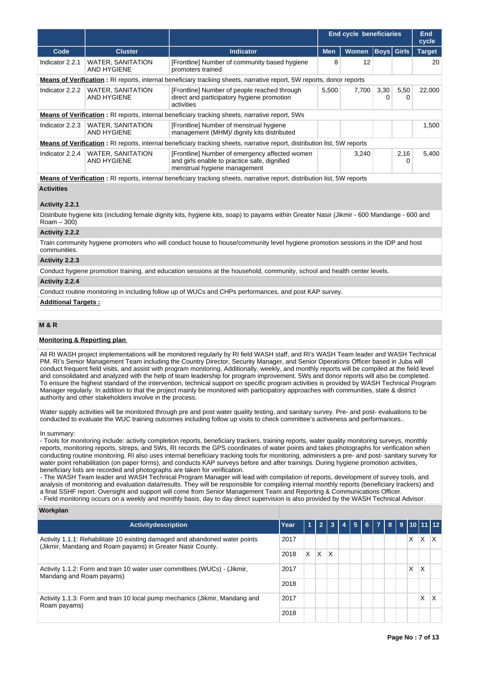|                   |                                                |                                                                                                                                  |            | <b>End cycle beneficiaries</b> |           |                   |               |  |
|-------------------|------------------------------------------------|----------------------------------------------------------------------------------------------------------------------------------|------------|--------------------------------|-----------|-------------------|---------------|--|
| Code              | <b>Cluster</b>                                 | <b>Indicator</b>                                                                                                                 | <b>Men</b> | <b>Women</b>                   |           | <b>Boys</b> Girls | <b>Target</b> |  |
| Indicator 2.2.1   | <b>WATER, SANITATION</b><br><b>AND HYGIENE</b> | [Frontline] Number of community based hygiene<br>promoters trained                                                               | 8          | 12                             |           |                   | 20            |  |
|                   |                                                | <b>Means of Verification</b> : RI reports, internal beneficiary tracking sheets, narrative report, 5W reports, donor reports     |            |                                |           |                   |               |  |
| Indicator 2.2.2   | <b>WATER, SANITATION</b><br><b>AND HYGIENE</b> | [Frontline] Number of people reached through<br>direct and participatory hygiene promotion<br>activities                         |            | 7.700                          | 3,30<br>0 | 5,50              | 22,000        |  |
|                   |                                                | <b>Means of Verification:</b> RI reports, internal beneficiary tracking sheets, narrative report, 5Ws                            |            |                                |           |                   |               |  |
| Indicator 2.2.3   | <b>WATER, SANITATION</b><br><b>AND HYGIENE</b> | [Frontline] Number of menstrual hygiene<br>management (MHM)/ dignity kits distributed                                            |            |                                |           |                   | 1.500         |  |
|                   |                                                | <b>Means of Verification</b> : RI reports, internal beneficiary tracking sheets, narrative report, distribution list, 5W reports |            |                                |           |                   |               |  |
| Indicator $2.2.4$ | <b>WATER, SANITATION</b><br>AND HYGIENE        | [Frontline] Number of emergency affected women<br>and girls enable to practice safe, dignified<br>menstrual hygiene management   |            | 3.240                          |           | 2,16              | 5.400         |  |

**Means of Verification :** RI reports, internal beneficiary tracking sheets, narrative report, distribution list, 5W reports

## **Activities**

### **Activity 2.2.1**

Distribute hygiene kits (including female dignity kits, hygiene kits, soap) to payams within Greater Nasir (Jikmir - 600 Mandange - 600 and  $R<sub>0</sub>am - 300$ 

## **Activity 2.2.2**

Train community hygiene promoters who will conduct house to house/community level hygiene promotion sessions in the IDP and host communities.

## **Activity 2.2.3**

Conduct hygiene promotion training, and education sessions at the household, community, school and health center levels.

### **Activity 2.2.4**

Conduct routine monitoring in including follow up of WUCs and CHPs performances, and post KAP survey.

## **Additional Targets :**

# **M & R**

## **Monitoring & Reporting plan**

All RI WASH project implementations will be monitored regularly by RI field WASH staff, and RI's WASH Team leader and WASH Technical PM. RI's Senior Management Team including the Country Director, Security Manager, and Senior Operations Officer based in Juba will conduct frequent field visits, and assist with program monitoring. Additionally, weekly, and monthly reports will be compiled at the field level and consolidated and analyzed with the help of team leadership for program improvement. 5Ws and donor reports will also be completed. To ensure the highest standard of the intervention, technical support on specific program activities is provided by WASH Technical Program Manager regularly. In addition to that the project mainly be monitored with participatory approaches with communities, state & district authority and other stakeholders involve in the process.

Water supply activities will be monitored through pre and post water quality testing, and sanitary survey. Pre- and post- evaluations to be conducted to evaluate the WUC training outcomes including follow up visits to check committee's activeness and performances..

### In summary:

- Tools for monitoring include: activity completion reports, beneficiary trackers, training reports, water quality monitoring surveys, monthly reports, monitoring reports, sitreps, and 5Ws, RI records the GPS coordinates of water points and takes photographs for verification when conducting routine monitoring. RI also uses internal beneficiary tracking tools for monitoring, administers a pre- and post- sanitary survey for water point rehabilitation (on paper forms), and conducts KAP surveys before and after trainings. During hygiene promotion activities, beneficiary lists are recorded and photographs are taken for verification.

- The WASH Team leader and WASH Technical Program Manager will lead with compilation of reports, development of survey tools, and analysis of monitoring and evaluation data/results. They will be responsible for compiling internal monthly reports (beneficiary trackers) and a final SSHF report. Oversight and support will come from Senior Management Team and Reporting & Communications Officer. - Field monitoring occurs on a weekly and monthly basis, day to day direct supervision is also provided by the WASH Technical Advisor.

### **Workplan**

| Activitydescription                                                                                                                       | Year | $\overline{\mathbf{1}}$ | $\overline{2}$ | $\mathbf{3}$ | 5 <sub>1</sub> |  |  |   | 6 7 8 9 10 11 12 |   |
|-------------------------------------------------------------------------------------------------------------------------------------------|------|-------------------------|----------------|--------------|----------------|--|--|---|------------------|---|
| Activity 1.1.1: Rehabilitate 10 existing damaged and abandoned water points<br>(Jikmir, Mandang and Roam payams) in Greater Nasir County. | 2017 |                         |                |              |                |  |  | X | X                | х |
|                                                                                                                                           | 2018 | X.                      | $\mathsf{X}$   | ΙX           |                |  |  |   |                  |   |
| Activity 1.1.2: Form and train 10 water user committees (WUCs) - (Jikmir,<br>Mandang and Roam payams)                                     | 2017 |                         |                |              |                |  |  | X | X                |   |
|                                                                                                                                           | 2018 |                         |                |              |                |  |  |   |                  |   |
| Activity 1.1.3: Form and train 10 local pump mechanics (Jikmir, Mandang and<br>Roam payams)                                               | 2017 |                         |                |              |                |  |  |   | Χ                | х |
|                                                                                                                                           |      |                         |                |              |                |  |  |   |                  |   |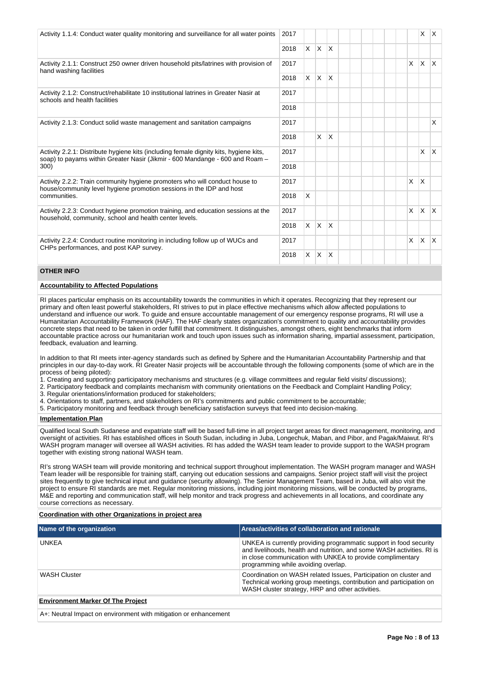| Activity 1.1.4: Conduct water quality monitoring and surveillance for all water points                                                                                        | 2017 |          |              |                         |  |  |   | X.           | $\mathsf{I} \mathsf{X}$ |
|-------------------------------------------------------------------------------------------------------------------------------------------------------------------------------|------|----------|--------------|-------------------------|--|--|---|--------------|-------------------------|
|                                                                                                                                                                               | 2018 | $\times$ | $\mathsf{X}$ | $\overline{\mathsf{x}}$ |  |  |   |              |                         |
| Activity 2.1.1: Construct 250 owner driven household pits/latrines with provision of<br>hand washing facilities                                                               | 2017 |          |              |                         |  |  | X | $\times$     | ΙX.                     |
|                                                                                                                                                                               | 2018 | $\times$ | $\mathsf{X}$ | $\times$                |  |  |   |              |                         |
| Activity 2.1.2: Construct/rehabilitate 10 institutional latrines in Greater Nasir at<br>schools and health facilities                                                         | 2017 |          |              |                         |  |  |   |              |                         |
|                                                                                                                                                                               | 2018 |          |              |                         |  |  |   |              |                         |
| Activity 2.1.3: Conduct solid waste management and sanitation campaigns                                                                                                       | 2017 |          |              |                         |  |  |   |              | X                       |
|                                                                                                                                                                               | 2018 |          | X            | $\times$                |  |  |   |              |                         |
| Activity 2.2.1: Distribute hygiene kits (including female dignity kits, hygiene kits,<br>soap) to payams within Greater Nasir (Jikmir - 600 Mandange - 600 and Roam -<br>300) | 2017 |          |              |                         |  |  |   | X            | $\mathsf{X}$            |
|                                                                                                                                                                               | 2018 |          |              |                         |  |  |   |              |                         |
| Activity 2.2.2: Train community hygiene promoters who will conduct house to<br>house/community level hygiene promotion sessions in the IDP and host                           | 2017 |          |              |                         |  |  | X | $\times$     |                         |
| communities.                                                                                                                                                                  | 2018 | X        |              |                         |  |  |   |              |                         |
| Activity 2.2.3: Conduct hygiene promotion training, and education sessions at the<br>household, community, school and health center levels.                                   | 2017 |          |              |                         |  |  | X | $\mathsf{x}$ | $\mathsf{X}$            |
|                                                                                                                                                                               | 2018 | X        | ΙX.          | $\times$                |  |  |   |              |                         |
| Activity 2.2.4: Conduct routine monitoring in including follow up of WUCs and<br>CHPs performances, and post KAP survey.                                                      | 2017 |          |              |                         |  |  | X | X            | ΙX.                     |
|                                                                                                                                                                               | 2018 | Χ        | X.           | X                       |  |  |   |              |                         |
| <b>OTHER INFO</b>                                                                                                                                                             |      |          |              |                         |  |  |   |              |                         |

### **Accountability to Affected Populations**

RI places particular emphasis on its accountability towards the communities in which it operates. Recognizing that they represent our primary and often least powerful stakeholders, RI strives to put in place effective mechanisms which allow affected populations to understand and influence our work. To guide and ensure accountable management of our emergency response programs, RI will use a Humanitarian Accountability Framework (HAF). The HAF clearly states organization's commitment to quality and accountability provides concrete steps that need to be taken in order fulfill that commitment. It distinguishes, amongst others, eight benchmarks that inform accountable practice across our humanitarian work and touch upon issues such as information sharing, impartial assessment, participation, feedback, evaluation and learning.

In addition to that RI meets inter-agency standards such as defined by Sphere and the Humanitarian Accountability Partnership and that principles in our day-to-day work. RI Greater Nasir projects will be accountable through the following components (some of which are in the process of being piloted):

1. Creating and supporting participatory mechanisms and structures (e.g. village committees and regular field visits/ discussions);

- 2. Participatory feedback and complaints mechanism with community orientations on the Feedback and Complaint Handling Policy;
- 3. Regular orientations/information produced for stakeholders;
- 4. Orientations to staff, partners, and stakeholders on RI's commitments and public commitment to be accountable;
- 5. Participatory monitoring and feedback through beneficiary satisfaction surveys that feed into decision-making.

### **Implementation Plan**

Qualified local South Sudanese and expatriate staff will be based full-time in all project target areas for direct management, monitoring, and oversight of activities. RI has established offices in South Sudan, including in Juba, Longechuk, Maban, and Pibor, and Pagak/Maiwut. RI's WASH program manager will oversee all WASH activities. RI has added the WASH team leader to provide support to the WASH program together with existing strong national WASH team.

RI's strong WASH team will provide monitoring and technical support throughout implementation. The WASH program manager and WASH Team leader will be responsible for training staff, carrying out education sessions and campaigns. Senior project staff will visit the project sites frequently to give technical input and guidance (security allowing). The Senior Management Team, based in Juba, will also visit the project to ensure RI standards are met. Regular monitoring missions, including joint monitoring missions, will be conducted by programs, M&E and reporting and communication staff, will help monitor and track progress and achievements in all locations, and coordinate any course corrections as necessary.

### **Coordination with other Organizations in project area**

| Name of the organization                 | Areas/activities of collaboration and rationale                                                                                                                                                                                                   |
|------------------------------------------|---------------------------------------------------------------------------------------------------------------------------------------------------------------------------------------------------------------------------------------------------|
| <b>UNKEA</b>                             | UNKEA is currently providing programmatic support in food security<br>and livelihoods, health and nutrition, and some WASH activities. RI is<br>in close communication with UNKEA to provide complimentary<br>programming while avoiding overlap. |
| WASH Cluster                             | Coordination on WASH related Issues, Participation on cluster and<br>Technical working group meetings, contribution and participation on<br>WASH cluster strategy, HRP and other activities.                                                      |
| <b>Environment Marker Of The Project</b> |                                                                                                                                                                                                                                                   |
|                                          |                                                                                                                                                                                                                                                   |

A+: Neutral Impact on environment with mitigation or enhancement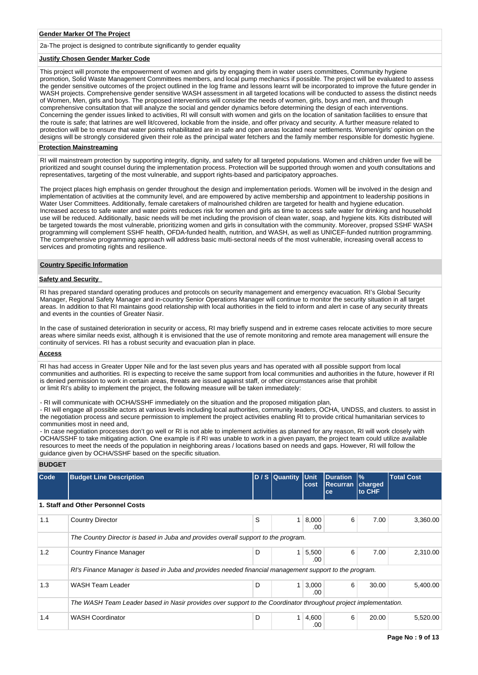#### **Gender Marker Of The Project**

2a-The project is designed to contribute significantly to gender equality

### **Justify Chosen Gender Marker Code**

This project will promote the empowerment of women and girls by engaging them in water users committees, Community hygiene promotion, Solid Waste Management Committees members, and local pump mechanics if possible. The project will be evaluated to assess the gender sensitive outcomes of the project outlined in the log frame and lessons learnt will be incorporated to improve the future gender in WASH projects. Comprehensive gender sensitive WASH assessment in all targeted locations will be conducted to assess the distinct needs of Women, Men, girls and boys. The proposed interventions will consider the needs of women, girls, boys and men, and through comprehensive consultation that will analyze the social and gender dynamics before determining the design of each interventions. Concerning the gender issues linked to activities, RI will consult with women and girls on the location of sanitation facilities to ensure that the route is safe; that latrines are well lit/covered, lockable from the inside, and offer privacy and security. A further measure related to protection will be to ensure that water points rehabilitated are in safe and open areas located near settlements. Women/girls' opinion on the designs will be strongly considered given their role as the principal water fetchers and the family member responsible for domestic hygiene.

### **Protection Mainstreaming**

RI will mainstream protection by supporting integrity, dignity, and safety for all targeted populations. Women and children under five will be prioritized and sought counsel during the implementation process. Protection will be supported through women and youth consultations and representatives, targeting of the most vulnerable, and support rights-based and participatory approaches.

The project places high emphasis on gender throughout the design and implementation periods. Women will be involved in the design and implementation of activities at the community level, and are empowered by active membership and appointment to leadership positions in Water User Committees. Additionally, female caretakers of malnourished children are targeted for health and hygiene education. Increased access to safe water and water points reduces risk for women and girls as time to access safe water for drinking and household use will be reduced. Additionally, basic needs will be met including the provision of clean water, soap, and hygiene kits. Kits distributed will be targeted towards the most vulnerable, prioritizing women and girls in consultation with the community. Moreover, propsed SSHF WASH programming will complement SSHF health, OFDA-funded health, nutrition, and WASH, as well as UNICEF-funded nutrition programming. The comprehensive programming approach will address basic multi-sectoral needs of the most vulnerable, increasing overall access to services and promoting rights and resilience.

#### **Country Specific Information**

## **Safety and Security**

RI has prepared standard operating produces and protocols on security management and emergency evacuation. RI's Global Security Manager, Regional Safety Manager and in-country Senior Operations Manager will continue to monitor the security situation in all target areas. In addition to that RI maintains good relationship with local authorities in the field to inform and alert in case of any security threats and events in the counties of Greater Nasir.

In the case of sustained deterioration in security or access, RI may briefly suspend and in extreme cases relocate activities to more secure areas where similar needs exist, although it is envisioned that the use of remote monitoring and remote area management will ensure the continuity of services. RI has a robust security and evacuation plan in place.

### **Access**

RI has had access in Greater Upper Nile and for the last seven plus years and has operated with all possible support from local communities and authorities. RI is expecting to receive the same support from local communities and authorities in the future, however if RI is denied permission to work in certain areas, threats are issued against staff, or other circumstances arise that prohibit or limit RI's ability to implement the project, the following measure will be taken immediately:

- RI will communicate with OCHA/SSHF immediately on the situation and the proposed mitigation plan,

- RI will engage all possible actors at various levels including local authorities, community leaders, OCHA, UNDSS, and clusters. to assist in the negotiation process and secure permission to implement the project activities enabling RI to provide critical humanitarian services to communities most in need and,

- In case negotiation processes don't go well or RI is not able to implement activities as planned for any reason, RI will work closely with OCHA/SSHF to take mitigating action. One example is if RI was unable to work in a given payam, the project team could utilize available resources to meet the needs of the population in neighboring areas / locations based on needs and gaps. However, RI will follow the guidance given by OCHA/SSHF based on the specific situation.

#### **BUDGET**

| Code | <b>Budget Line Description</b>                                                                                  |   | D / S Quantity Unit | cost         | <b>Duration</b><br><b>Recurran</b><br>ce | $\frac{9}{6}$<br>charged<br>to CHF | <b>Total Cost</b> |  |  |
|------|-----------------------------------------------------------------------------------------------------------------|---|---------------------|--------------|------------------------------------------|------------------------------------|-------------------|--|--|
|      | 1. Staff and Other Personnel Costs                                                                              |   |                     |              |                                          |                                    |                   |  |  |
| 1.1  | <b>Country Director</b>                                                                                         | S | $\mathbf 1$         | 8,000<br>.00 | 6                                        | 7.00                               | 3,360.00          |  |  |
|      | The Country Director is based in Juba and provides overall support to the program.                              |   |                     |              |                                          |                                    |                   |  |  |
| 1.2  | <b>Country Finance Manager</b>                                                                                  | D | 1                   | 5,500<br>.00 | 6                                        | 7.00                               | 2,310.00          |  |  |
|      | RI's Finance Manager is based in Juba and provides needed financial management support to the program.          |   |                     |              |                                          |                                    |                   |  |  |
| 1.3  | WASH Team Leader                                                                                                | D | $\mathbf{1}$        | 3,000<br>.00 | 6                                        | 30.00                              | 5,400.00          |  |  |
|      | The WASH Team Leader based in Nasir provides over support to the Coordinator throughout project implementation. |   |                     |              |                                          |                                    |                   |  |  |
| 1.4  | <b>WASH Coordinator</b>                                                                                         | D |                     | 4,600<br>.00 | 6                                        | 20.00                              | 5,520.00          |  |  |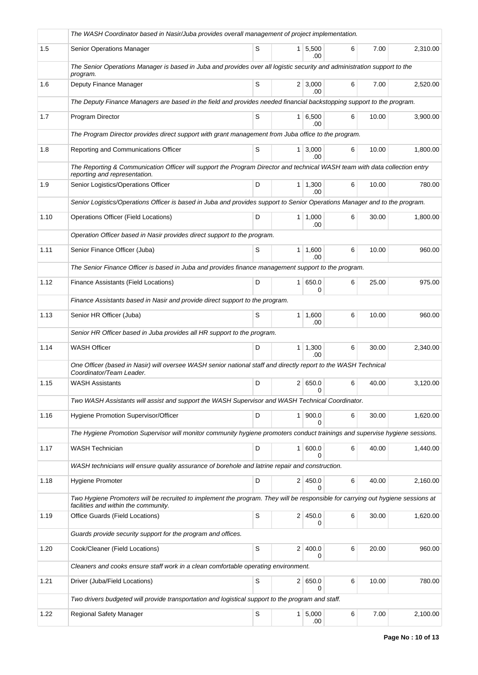|      | The WASH Coordinator based in Nasir/Juba provides overall management of project implementation.                                                                         |   |                |                        |   |       |          |
|------|-------------------------------------------------------------------------------------------------------------------------------------------------------------------------|---|----------------|------------------------|---|-------|----------|
| 1.5  | Senior Operations Manager                                                                                                                                               | S |                | 1 5,500<br>.00.        | 6 | 7.00  | 2.310.00 |
|      | The Senior Operations Manager is based in Juba and provides over all logistic security and administration support to the<br>program.                                    |   |                |                        |   |       |          |
| 1.6  | Deputy Finance Manager                                                                                                                                                  | S |                | $2 \mid 3,000$<br>.00  | 6 | 7.00  | 2,520.00 |
|      | The Deputy Finance Managers are based in the field and provides needed financial backstopping support to the program.                                                   |   |                |                        |   |       |          |
| 1.7  | Program Director                                                                                                                                                        | S |                | $1 \ 6,500$<br>.00     | 6 | 10.00 | 3,900.00 |
|      | The Program Director provides direct support with grant management from Juba office to the program.                                                                     |   |                |                        |   |       |          |
| 1.8  | Reporting and Communications Officer                                                                                                                                    | S | 1 <sup>1</sup> | 3,000<br>.00           | 6 | 10.00 | 1,800.00 |
|      | The Reporting & Communication Officer will support the Program Director and technical WASH team with data collection entry<br>reporting and representation.             |   |                |                        |   |       |          |
| 1.9  | Senior Logistics/Operations Officer                                                                                                                                     | D |                | $1 \mid 1.300$<br>.00  | 6 | 10.00 | 780.00   |
|      | Senior Logistics/Operations Officer is based in Juba and provides support to Senior Operations Manager and to the program.                                              |   |                |                        |   |       |          |
| 1.10 | Operations Officer (Field Locations)                                                                                                                                    | D |                | $1 \mid 1,000$<br>.00  | 6 | 30.00 | 1,800.00 |
|      | Operation Officer based in Nasir provides direct support to the program.                                                                                                |   |                |                        |   |       |          |
| 1.11 | Senior Finance Officer (Juba)                                                                                                                                           | S |                | $1 \mid 1,600$<br>.00. | 6 | 10.00 | 960.00   |
|      | The Senior Finance Officer is based in Juba and provides finance management support to the program.                                                                     |   |                |                        |   |       |          |
| 1.12 | Finance Assistants (Field Locations)                                                                                                                                    | D | 1 <sup>1</sup> | 650.0<br>0             | 6 | 25.00 | 975.00   |
|      | Finance Assistants based in Nasir and provide direct support to the program.                                                                                            |   |                |                        |   |       |          |
| 1.13 | Senior HR Officer (Juba)                                                                                                                                                | S |                | $1 \mid 1,600$<br>.00  | 6 | 10.00 | 960.00   |
|      | Senior HR Officer based in Juba provides all HR support to the program.                                                                                                 |   |                |                        |   |       |          |
| 1.14 | <b>WASH Officer</b>                                                                                                                                                     | D | 1 <sup>1</sup> | 1,300<br>.00           | 6 | 30.00 | 2,340.00 |
|      | One Officer (based in Nasir) will oversee WASH senior national staff and directly report to the WASH Technical<br>Coordinator/Team Leader.                              |   |                |                        |   |       |          |
| 1.15 | <b>WASH Assistants</b>                                                                                                                                                  | D |                | 2   650.0              | 6 | 40.00 | 3.120.00 |
|      | Two WASH Assistants will assist and support the WASH Supervisor and WASH Technical Coordinator.                                                                         |   |                | 0                      |   |       |          |
| 1.16 | Hygiene Promotion Supervisor/Officer                                                                                                                                    | D | 1 <sup>1</sup> | 900.0                  | 6 | 30.00 | 1,620.00 |
|      | The Hygiene Promotion Supervisor will monitor community hygiene promoters conduct trainings and supervise hygiene sessions.                                             |   |                | <sup>0</sup>           |   |       |          |
| 1.17 | <b>WASH Technician</b>                                                                                                                                                  | D | $\mathbf{1}$   | 600.0                  | 6 | 40.00 | 1,440.00 |
|      | WASH technicians will ensure quality assurance of borehole and latrine repair and construction.                                                                         |   |                | 0                      |   |       |          |
| 1.18 | Hygiene Promoter                                                                                                                                                        | D |                | 2 450.0                | 6 | 40.00 | 2,160.00 |
|      | Two Hygiene Promoters will be recruited to implement the program. They will be responsible for carrying out hygiene sessions at<br>facilities and within the community. |   |                |                        |   |       |          |
| 1.19 | Office Guards (Field Locations)                                                                                                                                         | S | 2 <sup>1</sup> | 450.0                  | 6 | 30.00 | 1,620.00 |
|      | Guards provide security support for the program and offices.                                                                                                            |   |                | 0                      |   |       |          |
| 1.20 | Cook/Cleaner (Field Locations)                                                                                                                                          | S | $\overline{2}$ | 400.0                  | 6 | 20.00 | 960.00   |
|      | Cleaners and cooks ensure staff work in a clean comfortable operating environment.                                                                                      |   |                | 0                      |   |       |          |
| 1.21 | Driver (Juba/Field Locations)                                                                                                                                           | S |                | 2 650.0                | 6 | 10.00 | 780.00   |
|      | Two drivers budgeted will provide transportation and logistical support to the program and staff.                                                                       |   |                | 0                      |   |       |          |
| 1.22 | Regional Safety Manager                                                                                                                                                 | S | 1 <sup>1</sup> | 5,000<br>.00           | 6 | 7.00  | 2,100.00 |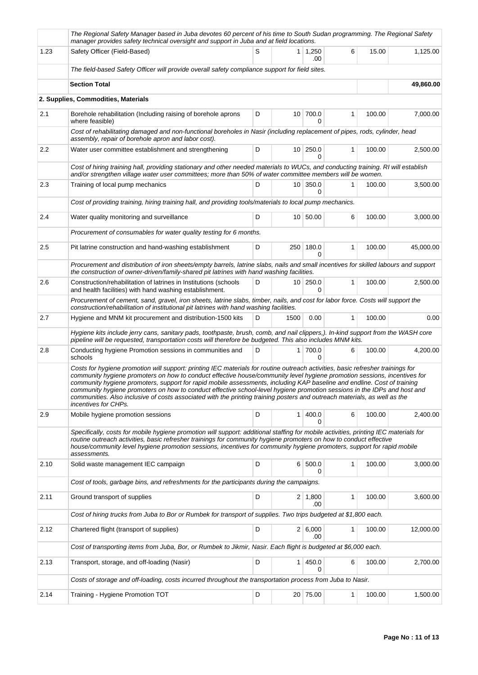|      | The Regional Safety Manager based in Juba devotes 60 percent of his time to South Sudan programming. The Regional Safety<br>manager provides safety technical oversight and support in Juba and at field locations.                                                                                                                                                                                                                                                                                                                                                                                                                                                     |   |      |                        |              |        |           |
|------|-------------------------------------------------------------------------------------------------------------------------------------------------------------------------------------------------------------------------------------------------------------------------------------------------------------------------------------------------------------------------------------------------------------------------------------------------------------------------------------------------------------------------------------------------------------------------------------------------------------------------------------------------------------------------|---|------|------------------------|--------------|--------|-----------|
| 1.23 | Safety Officer (Field-Based)                                                                                                                                                                                                                                                                                                                                                                                                                                                                                                                                                                                                                                            | S |      | $1 \mid 1,250$<br>.00  | 6            | 15.00  | 1,125.00  |
|      | The field-based Safety Officer will provide overall safety compliance support for field sites.                                                                                                                                                                                                                                                                                                                                                                                                                                                                                                                                                                          |   |      |                        |              |        |           |
|      | <b>Section Total</b>                                                                                                                                                                                                                                                                                                                                                                                                                                                                                                                                                                                                                                                    |   |      |                        |              |        | 49,860.00 |
|      | 2. Supplies, Commodities, Materials                                                                                                                                                                                                                                                                                                                                                                                                                                                                                                                                                                                                                                     |   |      |                        |              |        |           |
| 2.1  | Borehole rehabilitation (Including raising of borehole aprons<br>where feasible)                                                                                                                                                                                                                                                                                                                                                                                                                                                                                                                                                                                        | D |      | 10 700.0               | 1            | 100.00 | 7,000.00  |
|      | Cost of rehabilitating damaged and non-functional boreholes in Nasir (including replacement of pipes, rods, cylinder, head<br>assembly, repair of borehole apron and labor cost).                                                                                                                                                                                                                                                                                                                                                                                                                                                                                       |   |      |                        |              |        |           |
| 2.2  | Water user committee establishment and strengthening                                                                                                                                                                                                                                                                                                                                                                                                                                                                                                                                                                                                                    | D |      | 10 250.0<br>0          | 1            | 100.00 | 2,500.00  |
|      | Cost of hiring training hall, providing stationary and other needed materials to WUCs, and conducting training. RI will establish<br>and/or strengthen village water user committees; more than 50% of water committee members will be women.                                                                                                                                                                                                                                                                                                                                                                                                                           |   |      |                        |              |        |           |
| 2.3  | Training of local pump mechanics                                                                                                                                                                                                                                                                                                                                                                                                                                                                                                                                                                                                                                        | D |      | 10 350.0<br>$\Omega$   | 1            | 100.00 | 3,500.00  |
|      | Cost of providing training, hiring training hall, and providing tools/materials to local pump mechanics.                                                                                                                                                                                                                                                                                                                                                                                                                                                                                                                                                                |   |      |                        |              |        |           |
| 2.4  | Water quality monitoring and surveillance                                                                                                                                                                                                                                                                                                                                                                                                                                                                                                                                                                                                                               | D |      | 10 50.00               | 6            | 100.00 | 3,000.00  |
|      | Procurement of consumables for water quality testing for 6 months.                                                                                                                                                                                                                                                                                                                                                                                                                                                                                                                                                                                                      |   |      |                        |              |        |           |
| 2.5  | Pit latrine construction and hand-washing establishment                                                                                                                                                                                                                                                                                                                                                                                                                                                                                                                                                                                                                 | D | 250  | 180.0<br>$\Omega$      | 1            | 100.00 | 45,000.00 |
|      | Procurement and distribution of iron sheets/empty barrels, latrine slabs, nails and small incentives for skilled labours and support<br>the construction of owner-driven/family-shared pit latrines with hand washing facilities.                                                                                                                                                                                                                                                                                                                                                                                                                                       |   |      |                        |              |        |           |
| 2.6  | Construction/rehabilitation of latrines in Institutions (schools<br>and health facilities) with hand washing establishment.                                                                                                                                                                                                                                                                                                                                                                                                                                                                                                                                             | D |      | $10$ 250.0<br>$\Omega$ | $\mathbf{1}$ | 100.00 | 2,500.00  |
|      | Procurement of cement, sand, gravel, iron sheets, latrine slabs, timber, nails, and cost for labor force. Costs will support the<br>construction/rehabilitation of institutional pit latrines with hand washing facilities.                                                                                                                                                                                                                                                                                                                                                                                                                                             |   |      |                        |              |        |           |
| 2.7  | Hygiene and MNM kit procurement and distribution-1500 kits                                                                                                                                                                                                                                                                                                                                                                                                                                                                                                                                                                                                              | D | 1500 | 0.00                   | $\mathbf{1}$ | 100.00 | 0.00      |
|      | Hygiene kits include jerry cans, sanitary pads, toothpaste, brush, comb, and nail clippers,). In-kind support from the WASH core<br>pipeline will be requested, transportation costs will therefore be budgeted. This also includes MNM kits.                                                                                                                                                                                                                                                                                                                                                                                                                           |   |      |                        |              |        |           |
| 2.8  | Conducting hygiene Promotion sessions in communities and<br>schools                                                                                                                                                                                                                                                                                                                                                                                                                                                                                                                                                                                                     | D |      | 1 700.0<br>0           | 6            | 100.00 | 4,200.00  |
|      | Costs for hygiene promotion will support: printing IEC materials for routine outreach activities, basic refresher trainings for<br>community hygiene promoters on how to conduct effective house/community level hygiene promotion sessions, incentives for<br>community hygiene promoters, support for rapid mobile assessments, including KAP baseline and endline. Cost of training<br>community hygiene promoters on how to conduct effective school-level hygiene promotion sessions in the IDPs and host and<br>communities. Also inclusive of costs associated with the printing training posters and outreach materials, as well as the<br>incentives for CHPs. |   |      |                        |              |        |           |
| 2.9  | Mobile hygiene promotion sessions                                                                                                                                                                                                                                                                                                                                                                                                                                                                                                                                                                                                                                       | D |      | 1   400.0              | 6            | 100.00 | 2,400.00  |
|      | Specifically, costs for mobile hygiene promotion will support: additional staffing for mobile activities, printing IEC materials for<br>routine outreach activities, basic refresher trainings for community hygiene promoters on how to conduct effective<br>house/community level hygiene promotion sessions, incentives for community hygiene promoters, support for rapid mobile<br>assessments.                                                                                                                                                                                                                                                                    |   |      |                        |              |        |           |
| 2.10 | Solid waste management IEC campaign                                                                                                                                                                                                                                                                                                                                                                                                                                                                                                                                                                                                                                     | D |      | 6 500.0<br>0           | 1            | 100.00 | 3,000.00  |
|      | Cost of tools, garbage bins, and refreshments for the participants during the campaigns.                                                                                                                                                                                                                                                                                                                                                                                                                                                                                                                                                                                |   |      |                        |              |        |           |
| 2.11 | Ground transport of supplies                                                                                                                                                                                                                                                                                                                                                                                                                                                                                                                                                                                                                                            | D |      | $2 \mid 1,800$<br>.00  | 1            | 100.00 | 3,600.00  |
|      | Cost of hiring trucks from Juba to Bor or Rumbek for transport of supplies. Two trips budgeted at \$1,800 each.                                                                                                                                                                                                                                                                                                                                                                                                                                                                                                                                                         |   |      |                        |              |        |           |
| 2.12 | Chartered flight (transport of supplies)                                                                                                                                                                                                                                                                                                                                                                                                                                                                                                                                                                                                                                | D |      | 2 6,000<br>.00         | 1            | 100.00 | 12,000.00 |
|      | Cost of transporting items from Juba, Bor, or Rumbek to Jikmir, Nasir. Each flight is budgeted at \$6,000 each.                                                                                                                                                                                                                                                                                                                                                                                                                                                                                                                                                         |   |      |                        |              |        |           |
| 2.13 | Transport, storage, and off-loading (Nasir)                                                                                                                                                                                                                                                                                                                                                                                                                                                                                                                                                                                                                             | D |      | 1   450.0<br>0         | 6            | 100.00 | 2,700.00  |
|      | Costs of storage and off-loading, costs incurred throughout the transportation process from Juba to Nasir.                                                                                                                                                                                                                                                                                                                                                                                                                                                                                                                                                              |   |      |                        |              |        |           |
| 2.14 | Training - Hygiene Promotion TOT                                                                                                                                                                                                                                                                                                                                                                                                                                                                                                                                                                                                                                        | D |      | 20 75.00               | 1            | 100.00 | 1,500.00  |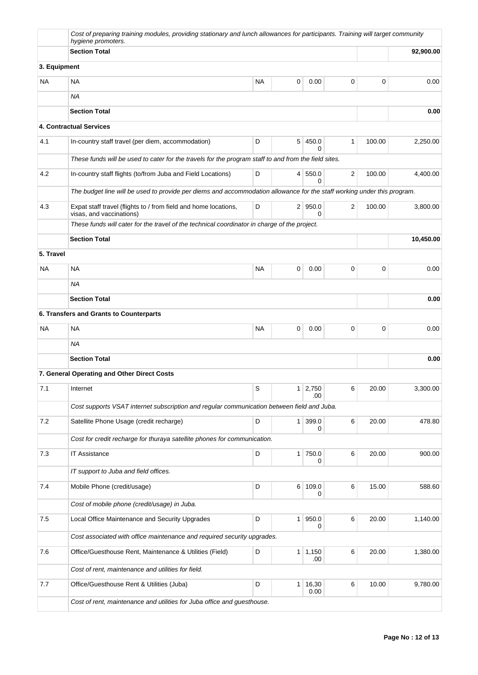|           | Cost of preparing training modules, providing stationary and lunch allowances for participants. Training will target community<br>hygiene promoters. |           |                |                |         |        |           |
|-----------|------------------------------------------------------------------------------------------------------------------------------------------------------|-----------|----------------|----------------|---------|--------|-----------|
|           | <b>Section Total</b>                                                                                                                                 |           |                |                |         |        | 92,900.00 |
|           | 3. Equipment                                                                                                                                         |           |                |                |         |        |           |
| ΝA        | <b>NA</b>                                                                                                                                            | <b>NA</b> | 0              | 0.00           | 0       | 0      | 0.00      |
|           | ΝA                                                                                                                                                   |           |                |                |         |        |           |
|           | <b>Section Total</b>                                                                                                                                 |           |                |                |         |        | 0.00      |
|           | 4. Contractual Services                                                                                                                              |           |                |                |         |        |           |
| 4.1       | In-country staff travel (per diem, accommodation)                                                                                                    | D         |                | 5 450.0<br>0   | 1       | 100.00 | 2,250.00  |
|           | These funds will be used to cater for the travels for the program staff to and from the field sites.                                                 |           |                |                |         |        |           |
| 4.2       | In-country staff flights (to/from Juba and Field Locations)                                                                                          | 100.00    | 4,400.00       |                |         |        |           |
|           | The budget line will be used to provide per diems and accommodation allowance for the staff working under this program.                              |           |                |                |         |        |           |
| 4.3       | Expat staff travel (flights to / from field and home locations,<br>visas, and vaccinations)                                                          | D         |                | $2$ 950.0<br>0 | 2       | 100.00 | 3,800.00  |
|           | These funds will cater for the travel of the technical coordinator in charge of the project.                                                         |           |                |                |         |        |           |
|           | <b>Section Total</b>                                                                                                                                 |           |                |                |         |        | 10,450.00 |
| 5. Travel |                                                                                                                                                      |           |                |                |         |        |           |
| NA        | <b>NA</b>                                                                                                                                            | NA        | 0              | 0.00           | 0       | 0      | 0.00      |
|           | <b>NA</b>                                                                                                                                            |           |                |                |         |        |           |
|           | <b>Section Total</b>                                                                                                                                 |           |                |                |         |        | 0.00      |
|           | 6. Transfers and Grants to Counterparts                                                                                                              |           |                |                |         |        |           |
| NA        | <b>NA</b>                                                                                                                                            | ΝA        | 0              | 0.00           | 0       | 0      | 0.00      |
|           | NA                                                                                                                                                   |           |                |                |         |        |           |
|           | <b>Section Total</b>                                                                                                                                 |           |                |                |         |        | 0.00      |
|           | 7. General Operating and Other Direct Costs                                                                                                          |           |                |                |         |        |           |
| 7.1       | Internet                                                                                                                                             | S         | 1              | 2,750<br>.00   | 6       | 20.00  | 3,300.00  |
|           | Cost supports VSAT internet subscription and regular communication between field and Juba.                                                           |           |                |                |         |        |           |
| 7.2       | Satellite Phone Usage (credit recharge)                                                                                                              | D         | $\mathbf{1}$   | 399.0<br>0     | 6       | 20.00  | 478.80    |
|           | Cost for credit recharge for thuraya satellite phones for communication.                                                                             |           |                |                |         |        |           |
| 7.3       | <b>IT Assistance</b>                                                                                                                                 | D         | 1 <sup>1</sup> | 750.0<br>0     | 6       | 20.00  | 900.00    |
|           | IT support to Juba and field offices.                                                                                                                |           |                |                |         |        |           |
| 7.4       | Mobile Phone (credit/usage)                                                                                                                          | D         |                | 6 109.0<br>0   | 6       | 15.00  | 588.60    |
|           | Cost of mobile phone (credit/usage) in Juba.                                                                                                         |           |                |                |         |        |           |
| $7.5\,$   | Local Office Maintenance and Security Upgrades                                                                                                       | D         | 1              | 950.0<br>0     | $\,6\,$ | 20.00  | 1,140.00  |
|           | Cost associated with office maintenance and required security upgrades.                                                                              |           |                |                |         |        |           |
| 7.6       | Office/Guesthouse Rent, Maintenance & Utilities (Field)                                                                                              | D         | 1              | 1,150<br>.00   | 6       | 20.00  | 1,380.00  |
|           | Cost of rent, maintenance and utilities for field.                                                                                                   |           |                |                |         |        |           |
| $7.7\,$   | Office/Guesthouse Rent & Utilities (Juba)                                                                                                            | D         | $\mathbf{1}$   | 16,30<br>0.00  | 6       | 10.00  | 9,780.00  |
|           | Cost of rent, maintenance and utilities for Juba office and guesthouse.                                                                              |           |                |                |         |        |           |